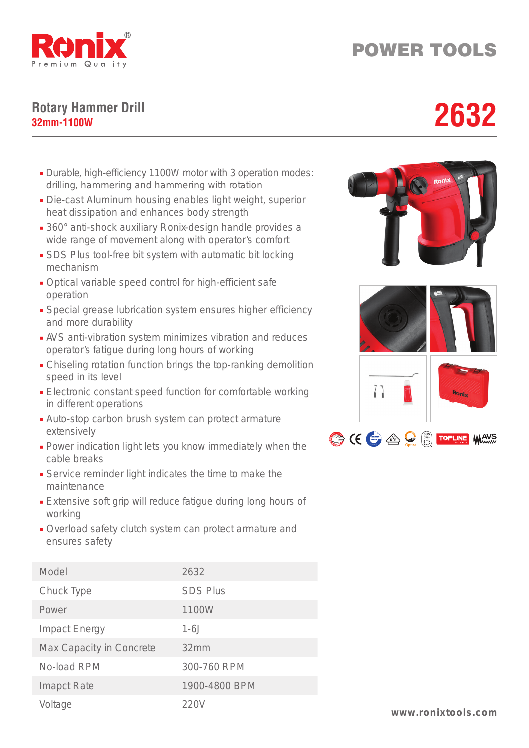

## POWER TOOLS

## **Rotary Hammer Drill** Rotary Hammer Drill<br>32mm-1100W<br>**2632**

- Durable, high-efficiency 1100W motor with 3 operation modes: drilling, hammering and hammering with rotation
- Die-cast Aluminum housing enables light weight, superior heat dissipation and enhances body strength
- 360° anti-shock auxiliary Ronix-design handle provides a wide range of movement along with operator's comfort
- SDS Plus tool-free bit system with automatic bit locking mechanism
- Optical variable speed control for high-efficient safe operation
- Special grease lubrication system ensures higher efficiency and more durability
- AVS anti-vibration system minimizes vibration and reduces operator's fatigue during long hours of working
- Chiseling rotation function brings the top-ranking demolition speed in its level
- Electronic constant speed function for comfortable working in different operations
- Auto-stop carbon brush system can protect armature extensively
- Power indication light lets you know immediately when the cable breaks
- Service reminder light indicates the time to make the maintenance
- Extensive soft grip will reduce fatigue during long hours of working
- Overload safety clutch system can protect armature and ensures safety

| Model                    | 2632            |
|--------------------------|-----------------|
| Chuck Type               | <b>SDS Plus</b> |
| Power                    | 1100W           |
| <b>Impact Energy</b>     | $1-6J$          |
| Max Capacity in Concrete | 32mm            |
| No-load RPM              | 300-760 RPM     |
| <b>Imapct Rate</b>       | 1900-4800 BPM   |
| Voltage                  | 220V            |